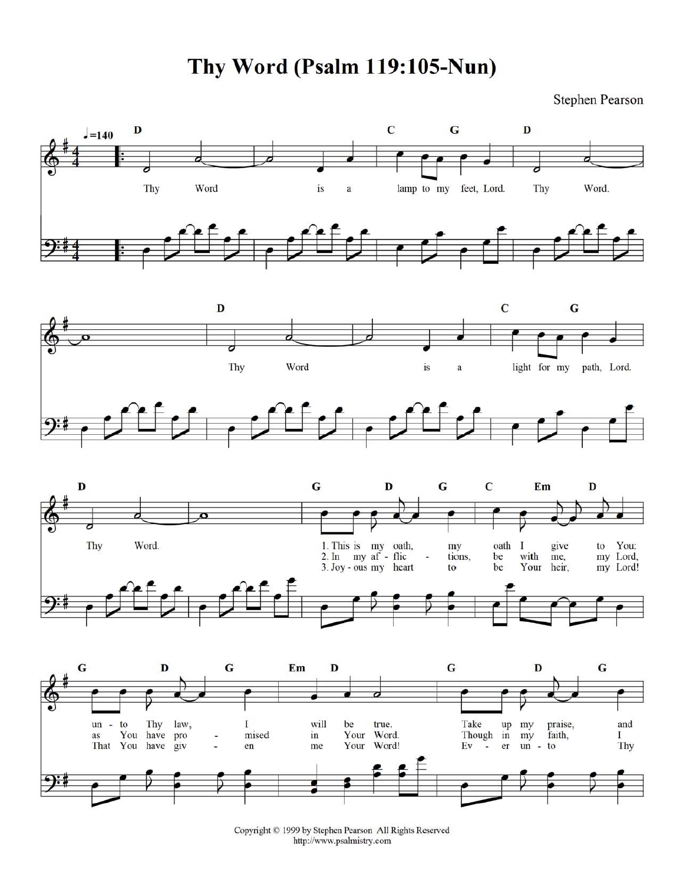Thy Word (Psalm 119:105-Nun)

**Stephen Pearson** 



Copyright © 1999 by Stephen Pearson All Rights Reserved http://www.psalmistry.com